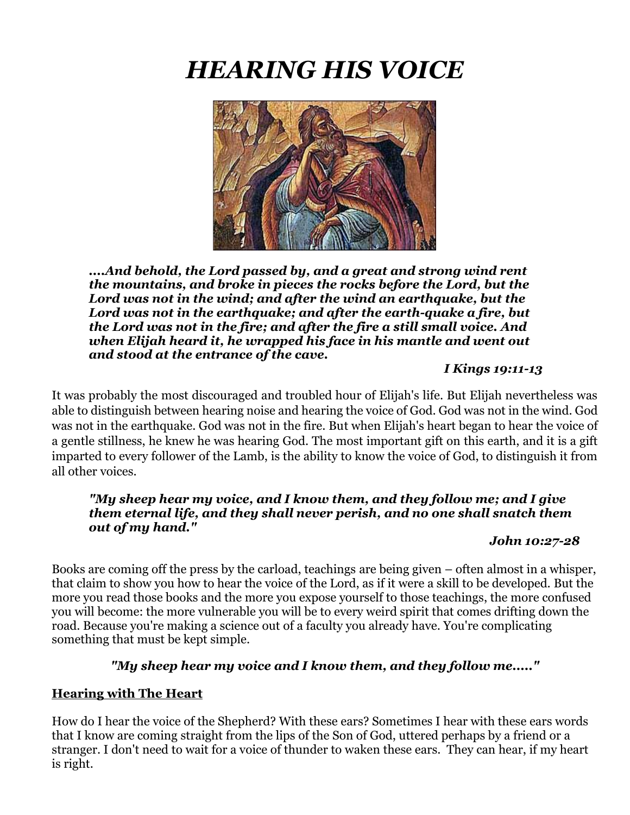# *HEARING HIS VOICE*



*....And behold, the Lord passed by, and a great and strong wind rent the mountains, and broke in pieces the rocks before the Lord, but the Lord was not in the wind; and after the wind an earthquake, but the Lord was not in the earthquake; and after the earth-quake a fire, but the Lord was not in the fire; and after the fire a still small voice. And when Elijah heard it, he wrapped his face in his mantle and went out and stood at the entrance of the cave.* 

## *I Kings 19:11-13*

It was probably the most discouraged and troubled hour of Elijah's life. But Elijah nevertheless was able to distinguish between hearing noise and hearing the voice of God. God was not in the wind. God was not in the earthquake. God was not in the fire. But when Elijah's heart began to hear the voice of a gentle stillness, he knew he was hearing God. The most important gift on this earth, and it is a gift imparted to every follower of the Lamb, is the ability to know the voice of God, to distinguish it from all other voices.

## *"My sheep hear my voice, and I know them, and they follow me; and I give them eternal life, and they shall never perish, and no one shall snatch them out of my hand."*

#### *John 10:27-28*

Books are coming off the press by the carload, teachings are being given – often almost in a whisper, that claim to show you how to hear the voice of the Lord, as if it were a skill to be developed. But the more you read those books and the more you expose yourself to those teachings, the more confused you will become: the more vulnerable you will be to every weird spirit that comes drifting down the road. Because you're making a science out of a faculty you already have. You're complicating something that must be kept simple.

## *"My sheep hear my voice and I know them, and they follow me....."*

#### **Hearing with The Heart**

How do I hear the voice of the Shepherd? With these ears? Sometimes I hear with these ears words that I know are coming straight from the lips of the Son of God, uttered perhaps by a friend or a stranger. I don't need to wait for a voice of thunder to waken these ears. They can hear, if my heart is right.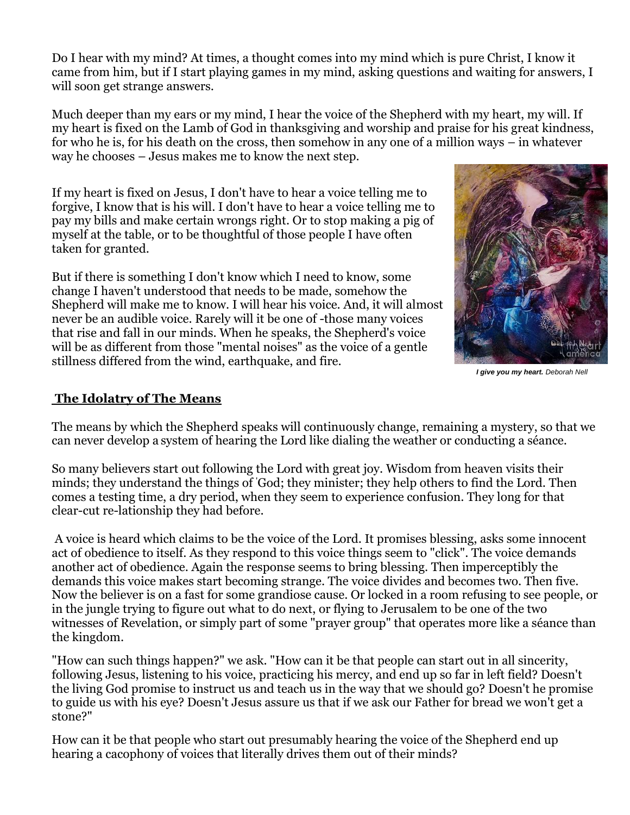Do I hear with my mind? At times, a thought comes into my mind which is pure Christ, I know it came from him, but if I start playing games in my mind, asking questions and waiting for answers, I will soon get strange answers.

Much deeper than my ears or my mind, I hear the voice of the Shepherd with my heart, my will. If my heart is fixed on the Lamb of God in thanksgiving and worship and praise for his great kindness, for who he is, for his death on the cross, then somehow in any one of a million ways – in whatever way he chooses – Jesus makes me to know the next step.

If my heart is fixed on Jesus, I don't have to hear a voice telling me to forgive, I know that is his will. I don't have to hear a voice telling me to pay my bills and make certain wrongs right. Or to stop making a pig of myself at the table, or to be thoughtful of those people I have often taken for granted.

But if there is something I don't know which I need to know, some change I haven't understood that needs to be made, somehow the Shepherd will make me to know. I will hear his voice. And, it will almost never be an audible voice. Rarely will it be one of -those many voices that rise and fall in our minds. When he speaks, the Shepherd's voice will be as different from those "mental noises" as the voice of a gentle stillness differed from the wind, earthquake, and fire.



 *I give you my heart. Deborah Nell*

## **The Idolatry of The Means**

The means by which the Shepherd speaks will continuously change, remaining a mystery, so that we can never develop a system of hearing the Lord like dialing the weather or conducting a séance.

So many believers start out following the Lord with great joy. Wisdom from heaven visits their minds; they understand the things of 'God; they minister; they help others to find the Lord. Then comes a testing time, a dry period, when they seem to experience confusion. They long for that clear-cut re-lationship they had before.

A voice is heard which claims to be the voice of the Lord. It promises blessing, asks some innocent act of obedience to itself. As they respond to this voice things seem to "click". The voice demands another act of obedience. Again the response seems to bring blessing. Then imperceptibly the demands this voice makes start becoming strange. The voice divides and becomes two. Then five. Now the believer is on a fast for some grandiose cause. Or locked in a room refusing to see people, or in the jungle trying to figure out what to do next, or flying to Jerusalem to be one of the two witnesses of Revelation, or simply part of some "prayer group" that operates more like a séance than the kingdom.

"How can such things happen?" we ask. "How can it be that people can start out in all sincerity, following Jesus, listening to his voice, practicing his mercy, and end up so far in left field? Doesn't the living God promise to instruct us and teach us in the way that we should go? Doesn't he promise to guide us with his eye? Doesn't Jesus assure us that if we ask our Father for bread we won't get a stone?"

How can it be that people who start out presumably hearing the voice of the Shepherd end up hearing a cacophony of voices that literally drives them out of their minds?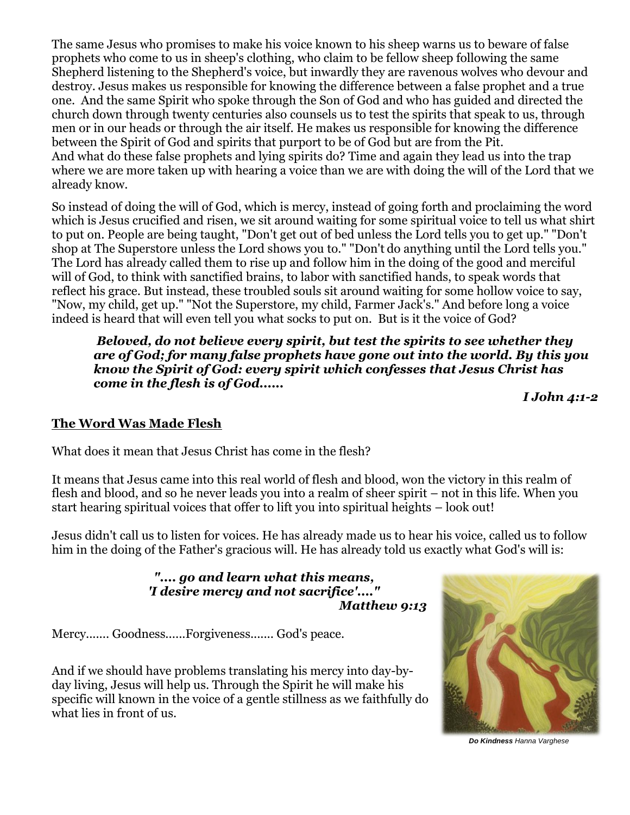The same Jesus who promises to make his voice known to his sheep warns us to beware of false prophets who come to us in sheep's clothing, who claim to be fellow sheep following the same Shepherd listening to the Shepherd's voice, but inwardly they are ravenous wolves who devour and destroy. Jesus makes us responsible for knowing the difference between a false prophet and a true one. And the same Spirit who spoke through the Son of God and who has guided and directed the church down through twenty centuries also counsels us to test the spirits that speak to us, through men or in our heads or through the air itself. He makes us responsible for knowing the difference between the Spirit of God and spirits that purport to be of God but are from the Pit. And what do these false prophets and lying spirits do? Time and again they lead us into the trap where we are more taken up with hearing a voice than we are with doing the will of the Lord that we already know.

So instead of doing the will of God, which is mercy, instead of going forth and proclaiming the word which is Jesus crucified and risen, we sit around waiting for some spiritual voice to tell us what shirt to put on. People are being taught, "Don't get out of bed unless the Lord tells you to get up." "Don't shop at The Superstore unless the Lord shows you to." "Don't do anything until the Lord tells you." The Lord has already called them to rise up and follow him in the doing of the good and merciful will of God, to think with sanctified brains, to labor with sanctified hands, to speak words that reflect his grace. But instead, these troubled souls sit around waiting for some hollow voice to say, "Now, my child, get up." "Not the Superstore, my child, Farmer Jack's." And before long a voice indeed is heard that will even tell you what socks to put on. But is it the voice of God?

*Beloved, do not believe every spirit, but test the spirits to see whether they are of God; for many false prophets have gone out into the world. By this you know the Spirit of God: every spirit which confesses that Jesus Christ has come in the flesh is of God......* 

*I John 4:1-2*

## **The Word Was Made Flesh**

What does it mean that Jesus Christ has come in the flesh?

It means that Jesus came into this real world of flesh and blood, won the victory in this realm of flesh and blood, and so he never leads you into a realm of sheer spirit – not in this life. When you start hearing spiritual voices that offer to lift you into spiritual heights – look out!

Jesus didn't call us to listen for voices. He has already made us to hear his voice, called us to follow him in the doing of the Father's gracious will. He has already told us exactly what God's will is:

> *".... go and learn what this means, 'I desire mercy and not sacrifice'...." Matthew 9:13*

Mercy....... Goodness......Forgiveness....... God's peace.

And if we should have problems translating his mercy into day-byday living, Jesus will help us. Through the Spirit he will make his specific will known in the voice of a gentle stillness as we faithfully do what lies in front of us.



 *Do Kindness Hanna Varghese*